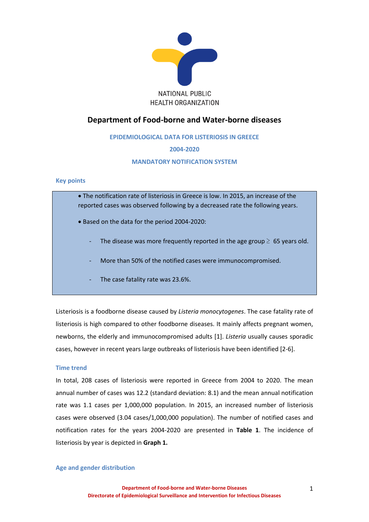

# **Department of Food-borne and Water-borne diseases**

**EPIDEMIOLOGICAL DATA FOR LISTERIOSIS IN GREECE** 

# **2004-2020**

# **MANDATORY NOTIFICATION SYSTEM**

# **Key points**

• The notification rate of listeriosis in Greece is low. In 2015, an increase of the reported cases was observed following by a decreased rate the following years.

- Based on the data for the period 2004-2020:
	- The disease was more frequently reported in the age group  $\geq 65$  years old.
	- More than 50% of the notified cases were immunocompromised.
	- The case fatality rate was 23.6%.

Listeriosis is a foodborne disease caused by *Listeria monocytogenes*. The case fatality rate of listeriosis is high compared to other foodborne diseases. It mainly affects pregnant women, newborns, the elderly and immunocompromised adults [1]. *Listeria* usually causes sporadic cases, however in recent years large outbreaks of listeriosis have been identified [2-6].

### **Time trend**

In total, 208 cases of listeriosis were reported in Greece from 2004 to 2020. The mean annual number of cases was 12.2 (standard deviation: 8.1) and the mean annual notification rate was 1.1 cases per 1,000,000 population. In 2015, an increased number of listeriosis cases were observed (3.04 cases/1,000,000 population). The number of notified cases and notification rates for the years 2004-2020 are presented in **Table 1**. The incidence of listeriosis by year is depicted in **Graph 1.**

### **Age and gender distribution**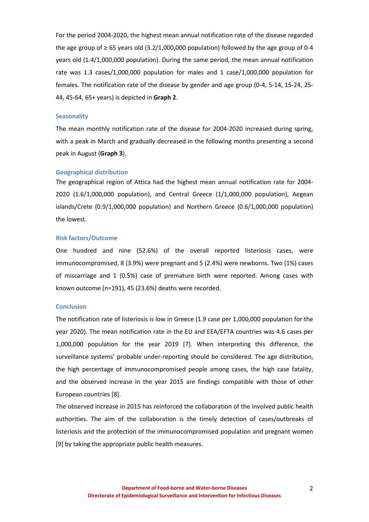For the period 2004-2020, the highest mean annual notification rate of the disease regarded the age group of  $\geq 65$  years old (3.2/1,000,000 population) followed by the age group of 0-4 years old (1.4/1,000,000 population). During the same period, the mean annual notification rate was 1.3 cases/1,000,000 population for males and 1 case/1,000,000 population for females. The notification rate of the disease by gender and age group (0-4, 5-14, 15-24, 25- 44, 45-64, 65+ years) is depicted in **Graph 2**.

#### **Seasonality**

The mean monthly notification rate of the disease for 2004-2020 increased during spring, with a peak in March and gradually decreased in the following months presenting a second peak in August (**Graph 3**).

### **Geographical distribution**

The geographical region of Attica had the highest mean annual notification rate for 2004- 2020 (1.6/1,000,000 population), and Central Greece (1/1,000,000 population), Aegean islands/Crete (0.9/1,000,000 population) and Northern Greece (0.6/1,000,000 population) the lowest.

#### **Risk factors/Outcome**

One hundred and nine (52.6%) of the overall reported listeriosis cases, were immunocompromised, 8 (3.9%) were pregnant and 5 (2.4%) were newborns. Two (1%) cases of miscarriage and 1 (0.5%) case of premature birth were reported. Among cases with known outcome (n=191), 45 (23.6%) deaths were recorded.

### **Conclusion**

The notification rate of listeriosis is low in Greece (1.9 case per 1,000,000 population for the year 2020). The mean notification rate in the EU and EEA/EFTA countries was 4.6 cases per 1,000,000 population for the year 2019 [7]. When interpreting this difference, the surveillance systems' probable under-reporting should be considered. The age distribution, the high percentage of immunocompromised people among cases, the high case fatality, and the observed increase in the year 2015 are findings compatible with those of other European countries [8].

The observed increase in 2015 has reinforced the collaboration of the involved public health authorities. The aim of the collaboration is the timely detection of cases/outbreaks of listeriosis and the protection of the immunocompromised population and pregnant women [9] by taking the appropriate public health measures.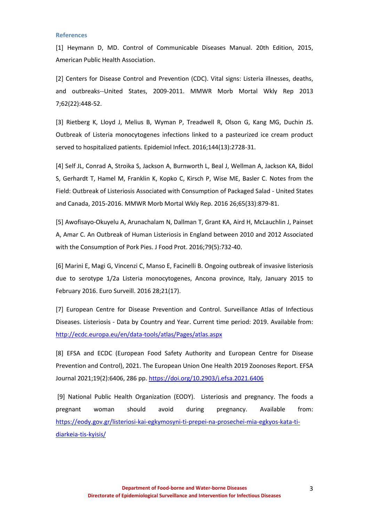#### **References**

[1] Heymann D, MD. Control of Communicable Diseases Manual. 20th Edition, 2015, American Public Health Association.

[2] Centers for Disease Control and Prevention (CDC). Vital signs: Listeria illnesses, deaths, [and outbreaks--United States, 2009-2011.](http://www.ncbi.nlm.nih.gov/pubmed/23739339) MMWR Morb Mortal Wkly Rep 2013 7;62(22):448-52.

[3] [Rietberg K,](https://www.ncbi.nlm.nih.gov/pubmed/?term=Rietberg%20K%5BAuthor%5D&cauthor=true&cauthor_uid=27586030) [Lloyd J,](https://www.ncbi.nlm.nih.gov/pubmed/?term=Lloyd%20J%5BAuthor%5D&cauthor=true&cauthor_uid=27586030) [Melius B,](https://www.ncbi.nlm.nih.gov/pubmed/?term=Melius%20B%5BAuthor%5D&cauthor=true&cauthor_uid=27586030) [Wyman P,](https://www.ncbi.nlm.nih.gov/pubmed/?term=Wyman%20P%5BAuthor%5D&cauthor=true&cauthor_uid=27586030) [Treadwell R,](https://www.ncbi.nlm.nih.gov/pubmed/?term=Treadwell%20R%5BAuthor%5D&cauthor=true&cauthor_uid=27586030) [Olson G,](https://www.ncbi.nlm.nih.gov/pubmed/?term=Olson%20G%5BAuthor%5D&cauthor=true&cauthor_uid=27586030) [Kang MG,](https://www.ncbi.nlm.nih.gov/pubmed/?term=Kang%20MG%5BAuthor%5D&cauthor=true&cauthor_uid=27586030) [Duchin JS.](https://www.ncbi.nlm.nih.gov/pubmed/?term=Duchin%20JS%5BAuthor%5D&cauthor=true&cauthor_uid=27586030) Outbreak of Listeria monocytogenes infections linked to a pasteurized ice cream product served to hospitalized patients. [Epidemiol Infect.](https://www.ncbi.nlm.nih.gov/pubmed/27586030) 2016;144(13):2728-31.

[4] Self JL, Conrad A, Stroika S, Jackson A, Burnworth L, Beal J, Wellman A, Jackson KA, Bidol S, Gerhardt T, Hamel M, Franklin K, Kopko C, Kirsch P, Wise ME, Basler C. [Notes from the](https://www.ncbi.nlm.nih.gov/pubmed/27559935)  [Field: Outbreak of Listeriosis Associated with Consumption of Packaged Salad -](https://www.ncbi.nlm.nih.gov/pubmed/27559935) United States [and Canada, 2015-2016.](https://www.ncbi.nlm.nih.gov/pubmed/27559935) MMWR Morb Mortal Wkly Rep. 2016 26;65(33):879-81.

[5] Awofisayo-Okuyelu A, Arunachalam N, Dallman T, Grant KA, Aird H, McLauchlin J, Painset A, Amar C. [An Outbreak of Human Listeriosis in England between 2010 and 2012 Associated](https://www.ncbi.nlm.nih.gov/pubmed/27296419)  [with the Consumption of Pork Pies.](https://www.ncbi.nlm.nih.gov/pubmed/27296419) J Food Prot. 2016;79(5):732-40.

[6] Marini E, Magi G, Vincenzi C, Manso E, Facinelli B. [Ongoing outbreak of invasive listeriosis](https://www.ncbi.nlm.nih.gov/pubmed/27168589)  [due to serotype 1/2a Listeria monocytogenes, Ancona province, Italy, January 2015 to](https://www.ncbi.nlm.nih.gov/pubmed/27168589)  [February 2016.](https://www.ncbi.nlm.nih.gov/pubmed/27168589) Euro Surveill. 2016 28;21(17).

[7] European Centre for Disease Prevention and Control. Surveillance Atlas of Infectious Diseases. Listeriosis - Data by Country and Year. Current time period: 2019. Available from: <http://ecdc.europa.eu/en/data-tools/atlas/Pages/atlas.aspx>

[8] EFSA and ECDC (European Food Safety Authority and European Centre for Disease Prevention and Control), 2021. The European Union One Health 2019 Zoonoses Report. EFSA Journal 2021;19(2):6406, 286 pp.<https://doi.org/10.2903/j.efsa.2021.6406>

[9] National Public Health Organization (EODY). Listeriosis and pregnancy. The foods a pregnant woman should avoid during pregnancy. Available from: [https://eody.gov.gr/listeriosi-kai-egkymosyni-ti-prepei-na-prosechei-mia-egkyos-kata-ti](https://eody.gov.gr/listeriosi-kai-egkymosyni-ti-prepei-na-prosechei-mia-egkyos-kata-ti-diarkeia-tis-kyisis/)[diarkeia-tis-kyisis/](https://eody.gov.gr/listeriosi-kai-egkymosyni-ti-prepei-na-prosechei-mia-egkyos-kata-ti-diarkeia-tis-kyisis/)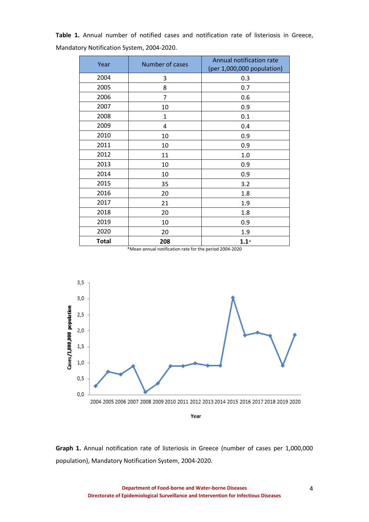| Year         | Number of cases | Annual notification rate<br>(per 1,000,000 population) |
|--------------|-----------------|--------------------------------------------------------|
| 2004         | 3               | 0.3                                                    |
| 2005         | 8               | 0.7                                                    |
| 2006         | $\overline{7}$  | 0.6                                                    |
| 2007         | 10              | 0.9                                                    |
| 2008         | $\mathbf{1}$    | 0.1                                                    |
| 2009         | 4               | 0.4                                                    |
| 2010         | 10              | 0.9                                                    |
| 2011         | 10              | 0.9                                                    |
| 2012         | 11              | 1.0                                                    |
| 2013         | 10              | 0.9                                                    |
| 2014         | 10              | 0.9                                                    |
| 2015         | 35              | 3.2                                                    |
| 2016         | 20              | 1.8                                                    |
| 2017         | 21              | 1.9                                                    |
| 2018         | 20              | 1.8                                                    |
| 2019         | 10              | 0.9                                                    |
| 2020         | 20              | 1.9                                                    |
| <b>Total</b> | 208             | $1.1*$                                                 |

**Table 1.** Annual number of notified cases and notification rate of listeriosis in Greece, Mandatory Notification System, 2004-2020.

\*Mean annual notification rate for the period 2004-2020



**Graph 1.** Annual notification rate of listeriosis in Greece (number of cases per 1,000,000 population), Mandatory Notification System, 2004-2020.